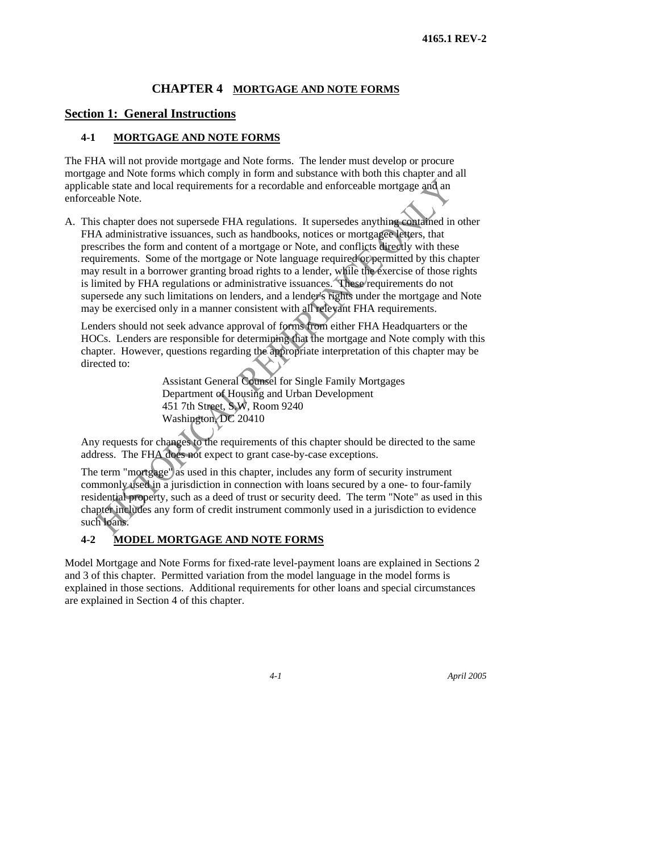### **CHAPTER 4 MORTGAGE AND NOTE FORMS**

#### **Section 1: General Instructions**

### **4-1 MORTGAGE AND NOTE FORMS**

The FHA will not provide mortgage and Note forms. The lender must develop or procure mortgage and Note forms which comply in form and substance with both this chapter and all applicable state and local requirements for a recordable and enforceable mortgage and an enforceable Note.

A. This chapter does not supersede FHA regulations. It supersedes anything contained in other FHA administrative issuances, such as handbooks, notices or mortgagee letters, that prescribes the form and content of a mortgage or Note, and conflicts directly with these requirements. Some of the mortgage or Note language required or permitted by this chapter may result in a borrower granting broad rights to a lender, while the exercise of those rights is limited by FHA regulations or administrative issuances. These requirements do not supersede any such limitations on lenders, and a lender's rights under the mortgage and Note may be exercised only in a manner consistent with all relevant FHA requirements.

Lenders should not seek advance approval of forms from either FHA Headquarters or the HOCs. Lenders are responsible for determining that the mortgage and Note comply with this chapter. However, questions regarding the appropriate interpretation of this chapter may be directed to:

> Assistant General Counsel for Single Family Mortgages Department of Housing and Urban Development 451 7th Street, S.W, Room 9240 Washington, DC 20410

Any requests for changes to the requirements of this chapter should be directed to the same address. The FHA does not expect to grant case-by-case exceptions.

The term "mortgage" as used in this chapter, includes any form of security instrument commonly used in a jurisdiction in connection with loans secured by a one- to four-family residential property, such as a deed of trust or security deed. The term "Note" as used in this chapter includes any form of credit instrument commonly used in a jurisdiction to evidence such loans.

### **4-2 MODEL MORTGAGE AND NOTE FORMS**

Model Mortgage and Note Forms for fixed-rate level-payment loans are explained in Sections 2 and 3 of this chapter. Permitted variation from the model language in the model forms is explained in those sections. Additional requirements for other loans and special circumstances are explained in Section 4 of this chapter.

*4-1 April 2005*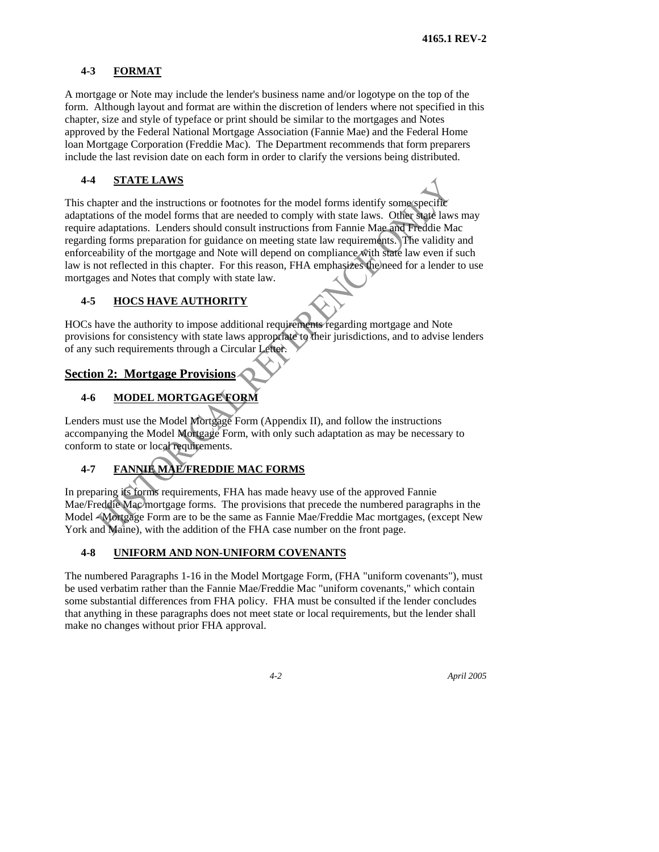### **4-3 FORMAT**

A mortgage or Note may include the lender's business name and/or logotype on the top of the form. Although layout and format are within the discretion of lenders where not specified in this chapter, size and style of typeface or print should be similar to the mortgages and Notes approved by the Federal National Mortgage Association (Fannie Mae) and the Federal Home loan Mortgage Corporation (Freddie Mac). The Department recommends that form preparers include the last revision date on each form in order to clarify the versions being distributed.

### **4-4 STATE LAWS**

This chapter and the instructions or footnotes for the model forms identify some specific adaptations of the model forms that are needed to comply with state laws. Other state laws may require adaptations. Lenders should consult instructions from Fannie Mae and Freddie Mac regarding forms preparation for guidance on meeting state law requirements. The validity and enforceability of the mortgage and Note will depend on compliance with state law even if such law is not reflected in this chapter. For this reason, FHA emphasizes the need for a lender to use mortgages and Notes that comply with state law.

### **4-5 HOCS HAVE AUTHORITY**

HOCs have the authority to impose additional requirements regarding mortgage and Note provisions for consistency with state laws appropriate to their jurisdictions, and to advise lenders of any such requirements through a Circular Letter.

## **Section 2: Mortgage Provisions**

## **4-6 MODEL MORTGAGE FORM**

Lenders must use the Model Mortgage Form (Appendix II), and follow the instructions accompanying the Model Mortgage Form, with only such adaptation as may be necessary to conform to state or local requirements.

# **4-7 FANNIE MAE/FREDDIE MAC FORMS**

In preparing its forms requirements, FHA has made heavy use of the approved Fannie Mae/Freddie Mac mortgage forms. The provisions that precede the numbered paragraphs in the Model - Mortgage Form are to be the same as Fannie Mae/Freddie Mac mortgages, (except New York and Maine), with the addition of the FHA case number on the front page.

### **4-8 UNIFORM AND NON-UNIFORM COVENANTS**

The numbered Paragraphs 1-16 in the Model Mortgage Form, (FHA "uniform covenants"), must be used verbatim rather than the Fannie Mae/Freddie Mac "uniform covenants," which contain some substantial differences from FHA policy. FHA must be consulted if the lender concludes that anything in these paragraphs does not meet state or local requirements, but the lender shall make no changes without prior FHA approval.

*4-2 April 2005*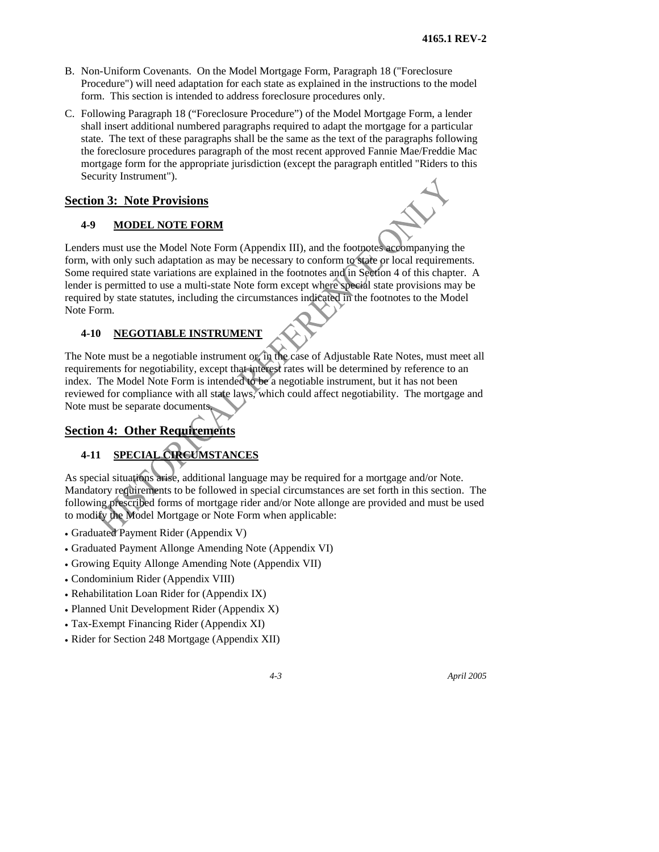- B. Non-Uniform Covenants. On the Model Mortgage Form, Paragraph 18 ("Foreclosure Procedure") will need adaptation for each state as explained in the instructions to the model form. This section is intended to address foreclosure procedures only.
- C. Following Paragraph 18 ("Foreclosure Procedure") of the Model Mortgage Form, a lender shall insert additional numbered paragraphs required to adapt the mortgage for a particular state. The text of these paragraphs shall be the same as the text of the paragraphs following the foreclosure procedures paragraph of the most recent approved Fannie Mae/Freddie Mac mortgage form for the appropriate jurisdiction (except the paragraph entitled "Riders to this Security Instrument").

### **Section 3: Note Provisions**

### **4-9 MODEL NOTE FORM**

Lenders must use the Model Note Form (Appendix III), and the footnotes accompanying the form, with only such adaptation as may be necessary to conform to state or local requirements. Some required state variations are explained in the footnotes and in Section 4 of this chapter. A lender is permitted to use a multi-state Note form except where special state provisions may be required by state statutes, including the circumstances indicated in the footnotes to the Model Note Form.

### **4-10 NEGOTIABLE INSTRUMENT**

The Note must be a negotiable instrument or, in the case of Adjustable Rate Notes, must meet all requirements for negotiability, except that interest rates will be determined by reference to an index. The Model Note Form is intended to be a negotiable instrument, but it has not been reviewed for compliance with all state laws, which could affect negotiability. The mortgage and Note must be separate documents.

## **Section 4: Other Requirements**

## **4-11 SPECIAL CIRCUMSTANCES**

As special situations arise, additional language may be required for a mortgage and/or Note. Mandatory requirements to be followed in special circumstances are set forth in this section. The following prescribed forms of mortgage rider and/or Note allonge are provided and must be used to modify the Model Mortgage or Note Form when applicable:

- Graduated Payment Rider (Appendix V)
- Graduated Payment Allonge Amending Note (Appendix VI)
- Growing Equity Allonge Amending Note (Appendix VII)
- Condominium Rider (Appendix VIII)
- Rehabilitation Loan Rider for (Appendix IX)
- Planned Unit Development Rider (Appendix X)
- Tax-Exempt Financing Rider (Appendix XI)
- Rider for Section 248 Mortgage (Appendix XII)



*4-3 April 2005*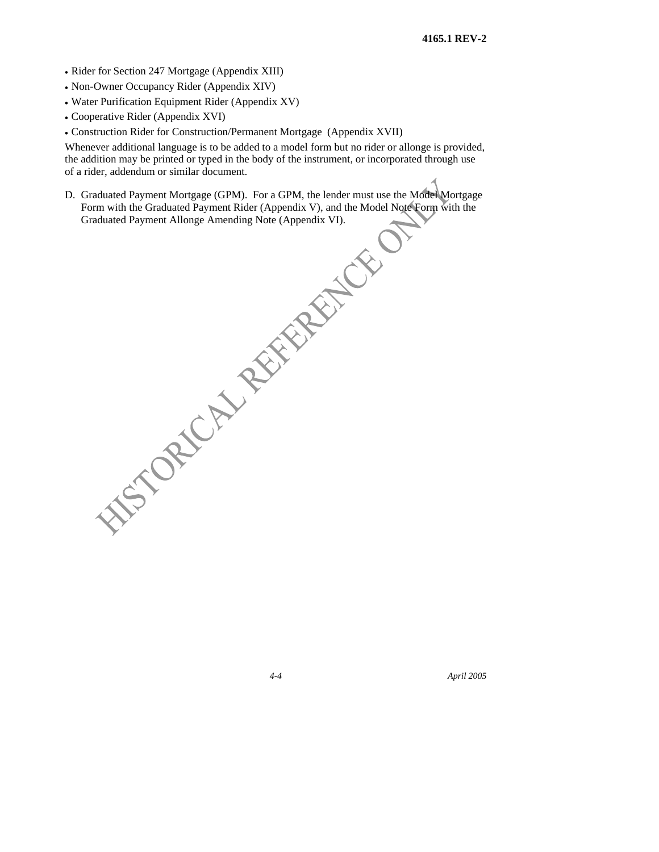- Rider for Section 247 Mortgage (Appendix XIII)
- Non-Owner Occupancy Rider (Appendix XIV)
- Water Purification Equipment Rider (Appendix XV)
- Cooperative Rider (Appendix XVI)
- Construction Rider for Construction/Permanent Mortgage (Appendix XVII)

Whenever additional language is to be added to a model form but no rider or allonge is provided, the addition may be printed or typed in the body of the instrument, or incorporated through use of a rider, addendum or similar document.

D. Graduated Payment Mortgage (GPM). For a GPM, the lender must use the Model Mortgage Form with the Graduated Payment Rider (Appendix V), and the Model Note Form with the WEST ORD AND REFERENCE

*4-4 April 2005*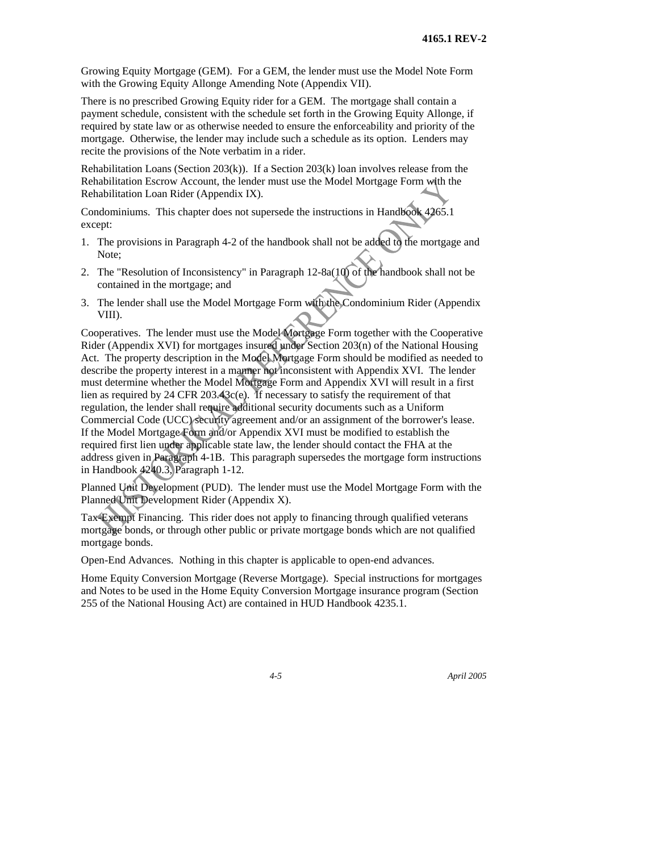Growing Equity Mortgage (GEM). For a GEM, the lender must use the Model Note Form with the Growing Equity Allonge Amending Note (Appendix VII).

There is no prescribed Growing Equity rider for a GEM. The mortgage shall contain a payment schedule, consistent with the schedule set forth in the Growing Equity Allonge, if required by state law or as otherwise needed to ensure the enforceability and priority of the mortgage. Otherwise, the lender may include such a schedule as its option. Lenders may recite the provisions of the Note verbatim in a rider.

Rehabilitation Loans (Section 203 $(k)$ ). If a Section 203 $(k)$  loan involves release from the Rehabilitation Escrow Account, the lender must use the Model Mortgage Form with the Rehabilitation Loan Rider (Appendix IX).

Condominiums. This chapter does not supersede the instructions in Handbook 4265.1 except:

- 1. The provisions in Paragraph 4-2 of the handbook shall not be added to the mortgage and Note;
- 2. The "Resolution of Inconsistency" in Paragraph 12-8a(10) of the handbook shall not be contained in the mortgage; and
- 3. The lender shall use the Model Mortgage Form with the Condominium Rider (Appendix VIII).

Cooperatives. The lender must use the Model Mortgage Form together with the Cooperative Rider (Appendix XVI) for mortgages insured under Section 203(n) of the National Housing Act. The property description in the Model Mortgage Form should be modified as needed to describe the property interest in a manner not inconsistent with Appendix XVI. The lender must determine whether the Model Mortgage Form and Appendix XVI will result in a first lien as required by 24 CFR 203.43 $c$ (e). If necessary to satisfy the requirement of that regulation, the lender shall require additional security documents such as a Uniform Commercial Code (UCC) security agreement and/or an assignment of the borrower's lease. If the Model Mortgage Form and/or Appendix XVI must be modified to establish the required first lien under applicable state law, the lender should contact the FHA at the address given in Paragraph 4-1B. This paragraph supersedes the mortgage form instructions in Handbook 4240.3, Paragraph 1-12.

Planned Unit Development (PUD). The lender must use the Model Mortgage Form with the Planned Unit Development Rider (Appendix X).

Tax-Exempt Financing. This rider does not apply to financing through qualified veterans mortgage bonds, or through other public or private mortgage bonds which are not qualified mortgage bonds.

Open-End Advances. Nothing in this chapter is applicable to open-end advances.

Home Equity Conversion Mortgage (Reverse Mortgage). Special instructions for mortgages and Notes to be used in the Home Equity Conversion Mortgage insurance program (Section 255 of the National Housing Act) are contained in HUD Handbook 4235.1.

*4-5 April 2005*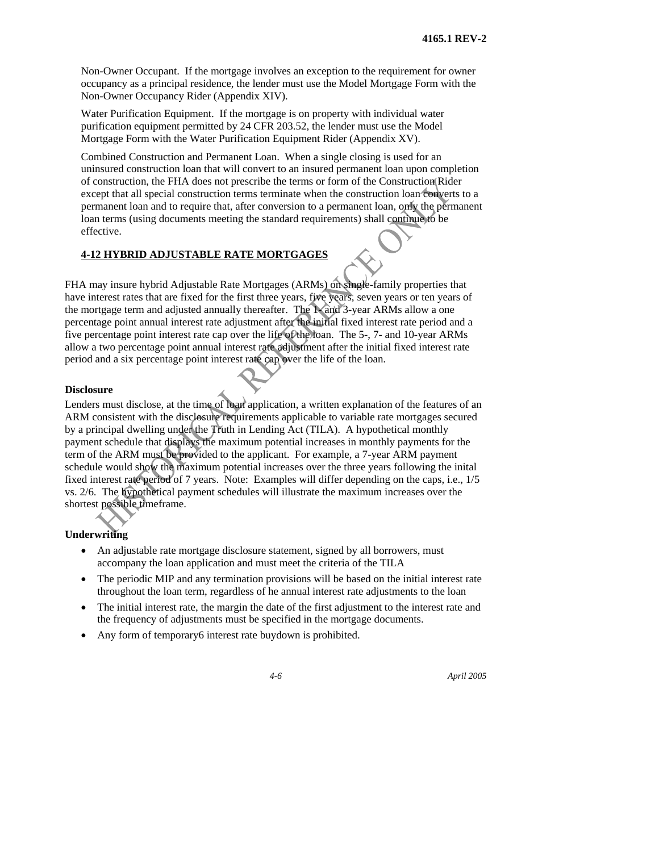Non-Owner Occupant. If the mortgage involves an exception to the requirement for owner occupancy as a principal residence, the lender must use the Model Mortgage Form with the Non-Owner Occupancy Rider (Appendix XIV).

Water Purification Equipment. If the mortgage is on property with individual water purification equipment permitted by 24 CFR 203.52, the lender must use the Model Mortgage Form with the Water Purification Equipment Rider (Appendix XV).

Combined Construction and Permanent Loan. When a single closing is used for an uninsured construction loan that will convert to an insured permanent loan upon completion of construction, the FHA does not prescribe the terms or form of the Construction Rider except that all special construction terms terminate when the construction loan converts to a permanent loan and to require that, after conversion to a permanent loan, only the permanent loan terms (using documents meeting the standard requirements) shall continue to be effective.

### **4-12 HYBRID ADJUSTABLE RATE MORTGAGES**

FHA may insure hybrid Adjustable Rate Mortgages (ARMs) on single-family properties that have interest rates that are fixed for the first three years, five years, seven years or ten years of the mortgage term and adjusted annually thereafter. The 1- and 3-year ARMs allow a one percentage point annual interest rate adjustment after the initial fixed interest rate period and a five percentage point interest rate cap over the life of the loan. The 5-, 7- and 10-year ARMs allow a two percentage point annual interest rate adjustment after the initial fixed interest rate period and a six percentage point interest rate cap over the life of the loan.

#### **Disclosure**

Lenders must disclose, at the time of loan application, a written explanation of the features of an ARM consistent with the disclosure requirements applicable to variable rate mortgages secured by a principal dwelling under the Truth in Lending Act (TILA). A hypothetical monthly payment schedule that displays the maximum potential increases in monthly payments for the term of the ARM must be provided to the applicant. For example, a 7-year ARM payment schedule would show the maximum potential increases over the three years following the inital fixed interest rate period of 7 years. Note: Examples will differ depending on the caps, i.e., 1/5 vs. 2/6. The hypothetical payment schedules will illustrate the maximum increases over the shortest possible timeframe.

#### **Underwriting**

- An adjustable rate mortgage disclosure statement, signed by all borrowers, must accompany the loan application and must meet the criteria of the TILA
- The periodic MIP and any termination provisions will be based on the initial interest rate throughout the loan term, regardless of he annual interest rate adjustments to the loan
- The initial interest rate, the margin the date of the first adjustment to the interest rate and the frequency of adjustments must be specified in the mortgage documents.
- Any form of temporary6 interest rate buydown is prohibited.



*4-6 April 2005*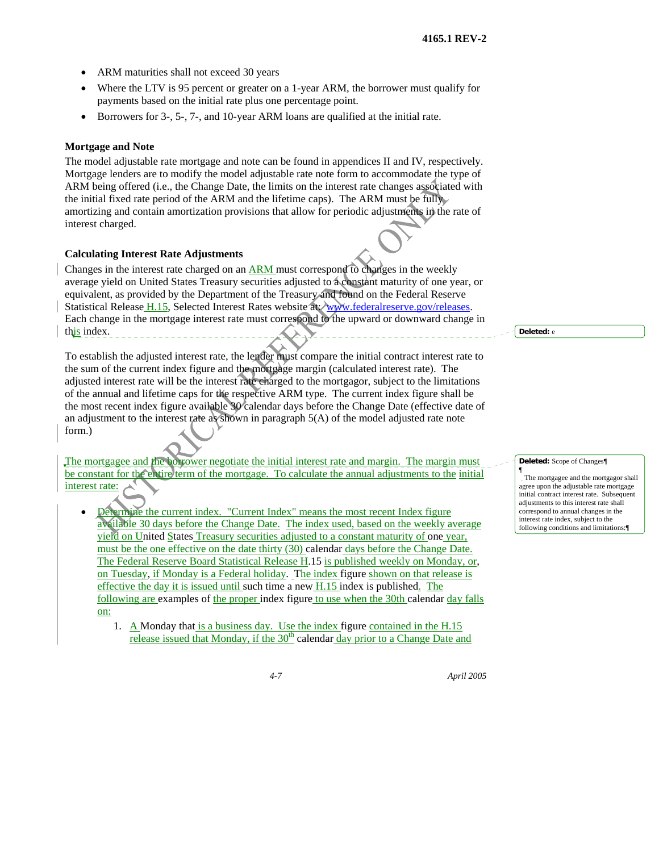- ARM maturities shall not exceed 30 years
- Where the LTV is 95 percent or greater on a 1-year ARM, the borrower must qualify for payments based on the initial rate plus one percentage point.
- Borrowers for 3-, 5-, 7-, and 10-year ARM loans are qualified at the initial rate.

#### **Mortgage and Note**

The model adjustable rate mortgage and note can be found in appendices II and IV, respectively. Mortgage lenders are to modify the model adjustable rate note form to accommodate the type of ARM being offered (i.e., the Change Date, the limits on the interest rate changes associated with the initial fixed rate period of the ARM and the lifetime caps). The ARM must be fully amortizing and contain amortization provisions that allow for periodic adjustments in the rate of interest charged.

#### **Calculating Interest Rate Adjustments**

Changes in the interest rate charged on an ARM must correspond to changes in the weekly average yield on United States Treasury securities adjusted to a constant maturity of one year, or equivalent, as provided by the Department of the Treasury and found on the Federal Reserve Statistical Release H.15, Selected Interest Rates website at: www.federalreserve.gov/releases. Each change in the mortgage interest rate must correspond to the upward or downward change in this index.

To establish the adjusted interest rate, the lender must compare the initial contract interest rate to the sum of the current index figure and the mortgage margin (calculated interest rate). The adjusted interest rate will be the interest rate charged to the mortgagor, subject to the limitations of the annual and lifetime caps for the respective ARM type. The current index figure shall be the most recent index figure available 30 calendar days before the Change Date (effective date of an adjustment to the interest rate as shown in paragraph 5(A) of the model adjusted rate note form.)

The mortgagee and the borrower negotiate the initial interest rate and margin. The margin must be constant for the entire term of the mortgage. To calculate the annual adjustments to the initial interest rate:

- Determine the current index. "Current Index" means the most recent Index figure available 30 days before the Change Date. The index used, based on the weekly average yield on United States Treasury securities adjusted to a constant maturity of one year, must be the one effective on the date thirty (30) calendar days before the Change Date. The Federal Reserve Board Statistical Release H.15 is published weekly on Monday, or, on Tuesday, if Monday is a Federal holiday. The index figure shown on that release is effective the day it is issued until such time a new H.15 index is published. The following are examples of the proper index figure to use when the 30th calendar day falls on:
	- 1. A Monday that is a business day. Use the index figure contained in the H.15 release issued that Monday, if the  $30<sup>th</sup>$  calendar day prior to a Change Date and

**Deleted:** e

#### **Deleted:** Scope of Changes¶

¶ The mortgagee and the mortgagor shall agree upon the adjustable rate mortgage initial contract interest rate. Subseque adjustments to this interest rate shall correspond to annual changes in the interest rate index, subject to the following conditions and limitations:<sup>4</sup>

*4-7 April 2005*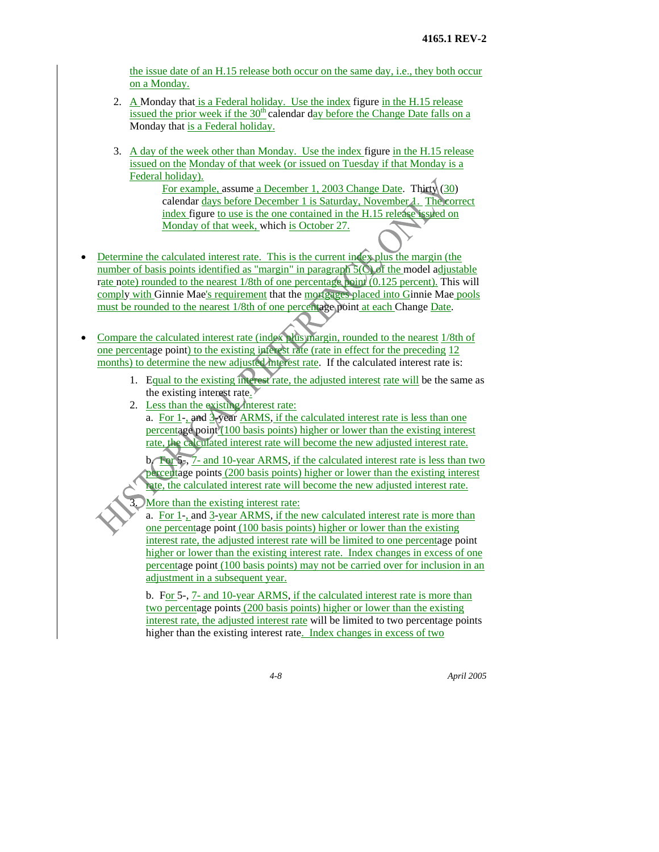the issue date of an H.15 release both occur on the same day, i.e., they both occur on a Monday.

- 2. A Monday that is a Federal holiday. Use the index figure in the H.15 release issued the prior week if the  $30<sup>th</sup>$  calendar day before the Change Date falls on a Monday that is a Federal holiday.
- 3. A day of the week other than Monday. Use the index figure in the H.15 release issued on the Monday of that week (or issued on Tuesday if that Monday is a Federal holiday).

For example, assume a December 1, 2003 Change Date. Thirty (30) calendar days before December 1 is Saturday, November 1. The correct index figure to use is the one contained in the H.15 release issued on Monday of that week, which is October 27.

• Determine the calculated interest rate. This is the current index plus the margin (the number of basis points identified as "margin" in paragraph 5(C) of the model adjustable rate note) rounded to the nearest 1/8th of one percentage point (0.125 percent). This will comply with Ginnie Mae's requirement that the mortgages placed into Ginnie Mae pools must be rounded to the nearest 1/8th of one percentage point at each Change Date.

• Compare the calculated interest rate (index plus margin, rounded to the nearest 1/8th of one percentage point) to the existing interest rate (rate in effect for the preceding 12 months) to determine the new adjusted interest rate. If the calculated interest rate is:

- 1. Equal to the existing interest rate, the adjusted interest rate will be the same as the existing interest rate.
- 2. Less than the existing interest rate: a. For  $1$ -, and  $3$ -year ARMS, if the calculated interest rate is less than one percentage point (100 basis points) higher or lower than the existing interest rate, the calculated interest rate will become the new adjusted interest rate.

b. For 5-, 7- and 10-year ARMS, if the calculated interest rate is less than two percentage points (200 basis points) higher or lower than the existing interest rate, the calculated interest rate will become the new adjusted interest rate.

More than the existing interest rate:

a. For 1-, and 3-year ARMS, if the new calculated interest rate is more than one percentage point (100 basis points) higher or lower than the existing interest rate, the adjusted interest rate will be limited to one percentage point higher or lower than the existing interest rate. Index changes in excess of one percentage point (100 basis points) may not be carried over for inclusion in an adjustment in a subsequent year.

b. For 5-, 7- and 10-year ARMS, if the calculated interest rate is more than two percentage points (200 basis points) higher or lower than the existing interest rate, the adjusted interest rate will be limited to two percentage points higher than the existing interest rate. Index changes in excess of two

*4-8 April 2005*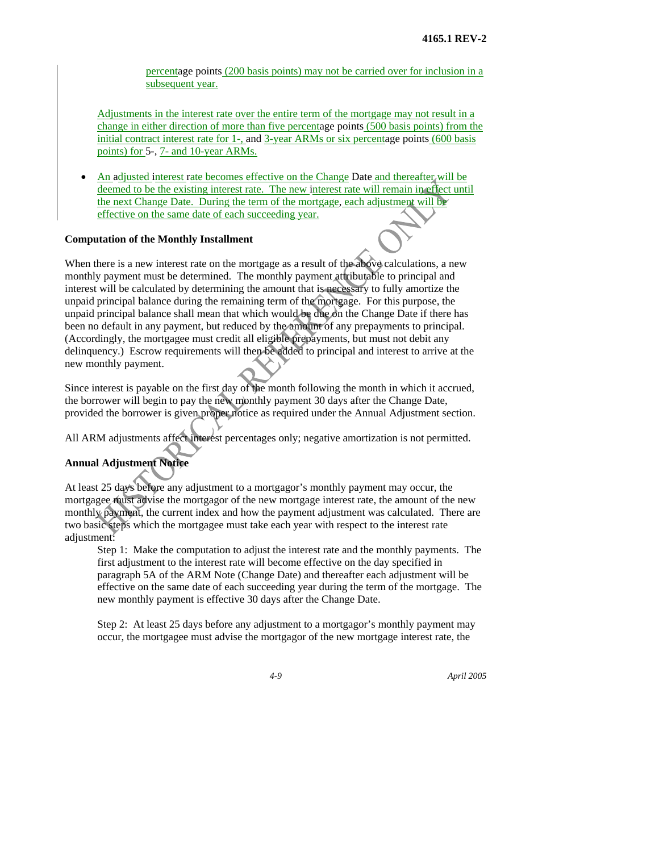percentage points (200 basis points) may not be carried over for inclusion in a subsequent year.

Adjustments in the interest rate over the entire term of the mortgage may not result in a change in either direction of more than five percentage points (500 basis points) from the initial contract interest rate for 1-, and 3-year ARMs or six percentage points (600 basis points) for 5-, 7- and 10-year ARMs.

 An adjusted interest rate becomes effective on the Change Date and thereafter will be deemed to be the existing interest rate. The new interest rate will remain in effect until the next Change Date. During the term of the mortgage, each adjustment will be effective on the same date of each succeeding year.

#### **Computation of the Monthly Installment**

When there is a new interest rate on the mortgage as a result of the above calculations, a new monthly payment must be determined. The monthly payment attributable to principal and interest will be calculated by determining the amount that is necessary to fully amortize the unpaid principal balance during the remaining term of the mortgage. For this purpose, the unpaid principal balance shall mean that which would be due on the Change Date if there has been no default in any payment, but reduced by the amount of any prepayments to principal. (Accordingly, the mortgagee must credit all eligible prepayments, but must not debit any delinquency.) Escrow requirements will then be added to principal and interest to arrive at the new monthly payment.

Since interest is payable on the first day of the month following the month in which it accrued, the borrower will begin to pay the new monthly payment 30 days after the Change Date, provided the borrower is given proper notice as required under the Annual Adjustment section.

All ARM adjustments affect interest percentages only; negative amortization is not permitted.

## **Annual Adjustment Notice**

At least 25 days before any adjustment to a mortgagor's monthly payment may occur, the mortgagee must advise the mortgagor of the new mortgage interest rate, the amount of the new monthly payment, the current index and how the payment adjustment was calculated. There are two basic steps which the mortgagee must take each year with respect to the interest rate adjustment:

Step 1: Make the computation to adjust the interest rate and the monthly payments. The first adjustment to the interest rate will become effective on the day specified in paragraph 5A of the ARM Note (Change Date) and thereafter each adjustment will be effective on the same date of each succeeding year during the term of the mortgage. The new monthly payment is effective 30 days after the Change Date.

Step 2: At least 25 days before any adjustment to a mortgagor's monthly payment may occur, the mortgagee must advise the mortgagor of the new mortgage interest rate, the

*4-9 April 2005*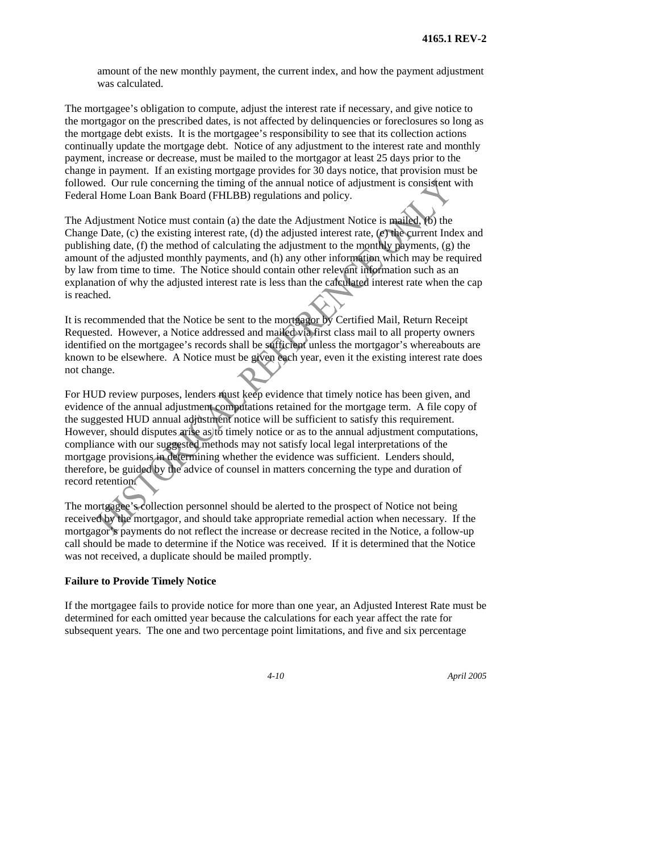amount of the new monthly payment, the current index, and how the payment adjustment was calculated.

The mortgagee's obligation to compute, adjust the interest rate if necessary, and give notice to the mortgagor on the prescribed dates, is not affected by delinquencies or foreclosures so long as the mortgage debt exists. It is the mortgagee's responsibility to see that its collection actions continually update the mortgage debt. Notice of any adjustment to the interest rate and monthly payment, increase or decrease, must be mailed to the mortgagor at least 25 days prior to the change in payment. If an existing mortgage provides for 30 days notice, that provision must be followed. Our rule concerning the timing of the annual notice of adjustment is consistent with Federal Home Loan Bank Board (FHLBB) regulations and policy.

The Adjustment Notice must contain (a) the date the Adjustment Notice is mailed, (b) the Change Date, (c) the existing interest rate, (d) the adjusted interest rate, (e) the current Index and publishing date, (f) the method of calculating the adjustment to the monthly payments, (g) the amount of the adjusted monthly payments, and (h) any other information which may be required by law from time to time. The Notice should contain other relevant information such as an explanation of why the adjusted interest rate is less than the calculated interest rate when the cap is reached.

It is recommended that the Notice be sent to the mortgagor by Certified Mail, Return Receipt Requested. However, a Notice addressed and mailed via first class mail to all property owners identified on the mortgagee's records shall be sufficient unless the mortgagor's whereabouts are known to be elsewhere. A Notice must be given each year, even it the existing interest rate does not change.

For HUD review purposes, lenders must keep evidence that timely notice has been given, and evidence of the annual adjustment computations retained for the mortgage term. A file copy of the suggested HUD annual adjustment notice will be sufficient to satisfy this requirement. However, should disputes arise as to timely notice or as to the annual adjustment computations, compliance with our suggested methods may not satisfy local legal interpretations of the mortgage provisions in determining whether the evidence was sufficient. Lenders should, therefore, be guided by the advice of counsel in matters concerning the type and duration of record retention.

The mortgagee's collection personnel should be alerted to the prospect of Notice not being received by the mortgagor, and should take appropriate remedial action when necessary. If the mortgagor's payments do not reflect the increase or decrease recited in the Notice, a follow-up call should be made to determine if the Notice was received. If it is determined that the Notice was not received, a duplicate should be mailed promptly.

#### **Failure to Provide Timely Notice**

If the mortgagee fails to provide notice for more than one year, an Adjusted Interest Rate must be determined for each omitted year because the calculations for each year affect the rate for subsequent years. The one and two percentage point limitations, and five and six percentage

*4-10 April 2005*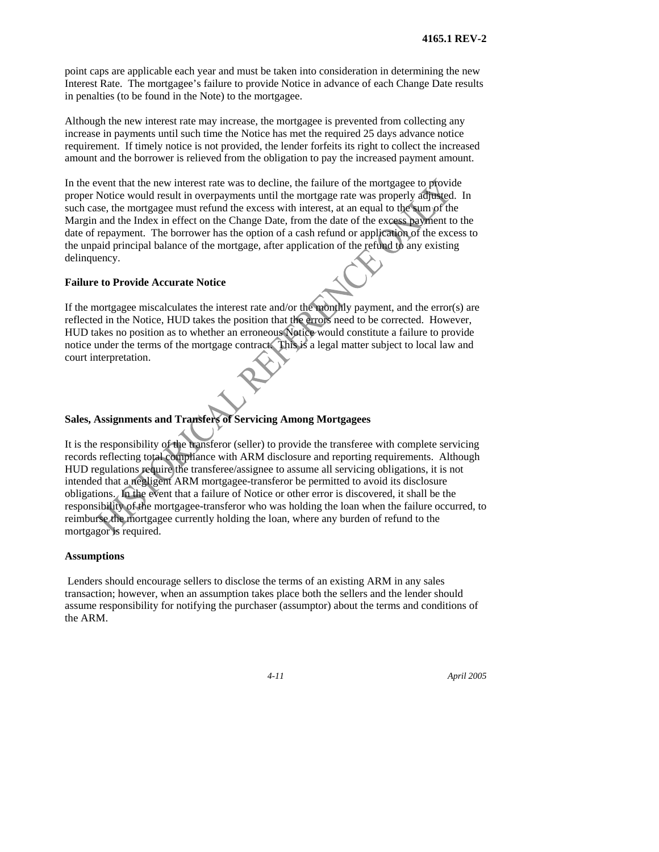point caps are applicable each year and must be taken into consideration in determining the new Interest Rate. The mortgagee's failure to provide Notice in advance of each Change Date results in penalties (to be found in the Note) to the mortgagee.

Although the new interest rate may increase, the mortgagee is prevented from collecting any increase in payments until such time the Notice has met the required 25 days advance notice requirement. If timely notice is not provided, the lender forfeits its right to collect the increased amount and the borrower is relieved from the obligation to pay the increased payment amount.

In the event that the new interest rate was to decline, the failure of the mortgagee to provide proper Notice would result in overpayments until the mortgage rate was properly adjusted. In such case, the mortgagee must refund the excess with interest, at an equal to the sum of the Margin and the Index in effect on the Change Date, from the date of the excess payment to the date of repayment. The borrower has the option of a cash refund or application of the excess to the unpaid principal balance of the mortgage, after application of the refund to any existing delinquency.

#### **Failure to Provide Accurate Notice**

If the mortgagee miscalculates the interest rate and/or the monthly payment, and the error(s) are reflected in the Notice, HUD takes the position that the errors need to be corrected. However, HUD takes no position as to whether an erroneous Notice would constitute a failure to provide notice under the terms of the mortgage contract. This is a legal matter subject to local law and court interpretation.

#### **Sales, Assignments and Transfers of Servicing Among Mortgagees**

It is the responsibility of the transferor (seller) to provide the transferee with complete servicing records reflecting total compliance with ARM disclosure and reporting requirements. Although HUD regulations require the transferee/assignee to assume all servicing obligations, it is not intended that a negligent ARM mortgagee-transferor be permitted to avoid its disclosure obligations. In the event that a failure of Notice or other error is discovered, it shall be the responsibility of the mortgagee-transferor who was holding the loan when the failure occurred, to reimburse the mortgagee currently holding the loan, where any burden of refund to the mortgagor is required.

#### **Assumptions**

 Lenders should encourage sellers to disclose the terms of an existing ARM in any sales transaction; however, when an assumption takes place both the sellers and the lender should assume responsibility for notifying the purchaser (assumptor) about the terms and conditions of the ARM.

*4-11 April 2005*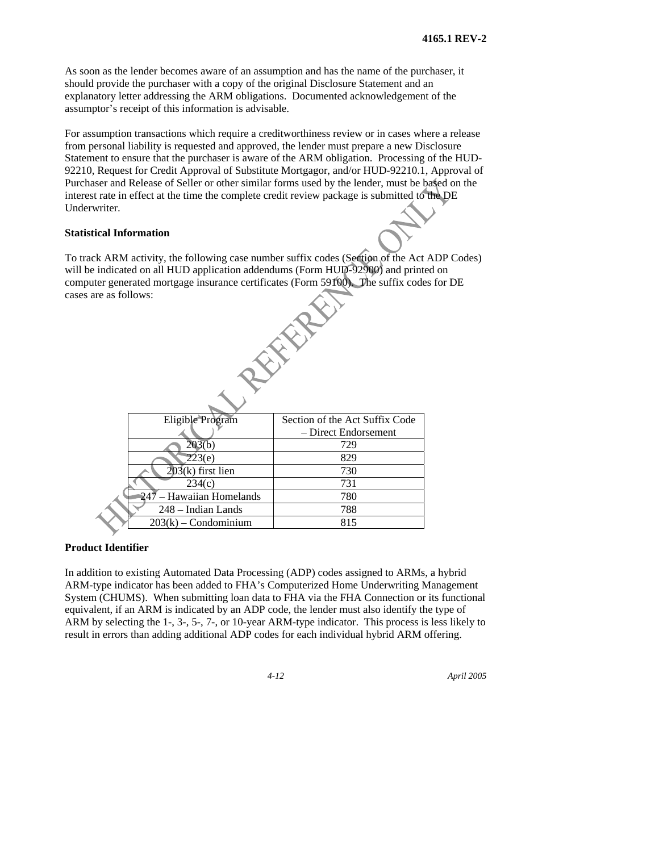As soon as the lender becomes aware of an assumption and has the name of the purchaser, it should provide the purchaser with a copy of the original Disclosure Statement and an explanatory letter addressing the ARM obligations. Documented acknowledgement of the assumptor's receipt of this information is advisable.

For assumption transactions which require a creditworthiness review or in cases where a release from personal liability is requested and approved, the lender must prepare a new Disclosure Statement to ensure that the purchaser is aware of the ARM obligation. Processing of the HUD-92210, Request for Credit Approval of Substitute Mortgagor, and/or HUD-92210.1, Approval of Purchaser and Release of Seller or other similar forms used by the lender, must be based on the interest rate in effect at the time the complete credit review package is submitted to the DE Underwriter.

#### **Statistical Information**

To track ARM activity, the following case number suffix codes (Section of the Act ADP Codes) will be indicated on all HUD application addendums (Form HUD-92900) and printed on computer generated mortgage insurance certificates (Form 59100). The suffix codes for DE cases are as follows:

**FARE** 

| Eligible Program         | Section of the Act Suffix Code |
|--------------------------|--------------------------------|
|                          | - Direct Endorsement           |
| 203(b)                   | 729                            |
| 223(e)                   | 829                            |
| $203(k)$ first lien      | 730                            |
| 234(c)                   | 731                            |
| 247 – Hawaiian Homelands | 780                            |
| 248 - Indian Lands       | 788                            |
| $203(k)$ – Condominium   | 815                            |

#### **Product Identifier**

In addition to existing Automated Data Processing (ADP) codes assigned to ARMs, a hybrid ARM-type indicator has been added to FHA's Computerized Home Underwriting Management System (CHUMS). When submitting loan data to FHA via the FHA Connection or its functional equivalent, if an ARM is indicated by an ADP code, the lender must also identify the type of ARM by selecting the 1-, 3-, 5-, 7-, or 10-year ARM-type indicator. This process is less likely to result in errors than adding additional ADP codes for each individual hybrid ARM offering.

*4-12 April 2005*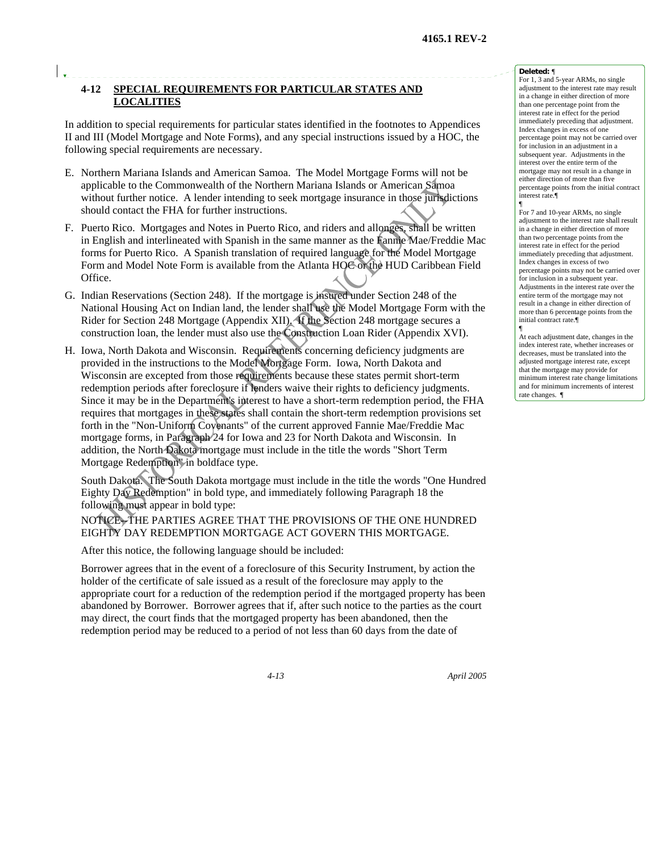## **4-12 SPECIAL REQUIREMENTS FOR PARTICULAR STATES AND LOCALITIES**

In addition to special requirements for particular states identified in the footnotes to Appendices II and III (Model Mortgage and Note Forms), and any special instructions issued by a HOC, the following special requirements are necessary.

- E. Northern Mariana Islands and American Samoa. The Model Mortgage Forms will not be applicable to the Commonwealth of the Northern Mariana Islands or American Samoa without further notice. A lender intending to seek mortgage insurance in those jurisdictions should contact the FHA for further instructions.
- F. Puerto Rico. Mortgages and Notes in Puerto Rico, and riders and allonges, shall be written in English and interlineated with Spanish in the same manner as the Fannie Mae/Freddie Mac forms for Puerto Rico. A Spanish translation of required language for the Model Mortgage Form and Model Note Form is available from the Atlanta HOC or the HUD Caribbean Field Office.
- G. Indian Reservations (Section 248). If the mortgage is insured under Section 248 of the National Housing Act on Indian land, the lender shall use the Model Mortgage Form with the Rider for Section 248 Mortgage (Appendix XII). If the Section 248 mortgage secures a construction loan, the lender must also use the Construction Loan Rider (Appendix XVI).
- H. Iowa, North Dakota and Wisconsin. Requirements concerning deficiency judgments are provided in the instructions to the Model Mortgage Form. Iowa, North Dakota and Wisconsin are excepted from those requirements because these states permit short-term redemption periods after foreclosure if lenders waive their rights to deficiency judgments. Since it may be in the Department's interest to have a short-term redemption period, the FHA requires that mortgages in these states shall contain the short-term redemption provisions set forth in the "Non-Uniform Covenants" of the current approved Fannie Mae/Freddie Mac mortgage forms, in Paragraph 24 for Iowa and 23 for North Dakota and Wisconsin. In addition, the North Dakota mortgage must include in the title the words "Short Term Mortgage Redemption" in boldface type.

South Dakota. The South Dakota mortgage must include in the title the words "One Hundred Eighty Day Redemption" in bold type, and immediately following Paragraph 18 the following must appear in bold type:

NOTICE--THE PARTIES AGREE THAT THE PROVISIONS OF THE ONE HUNDRED EIGHTY DAY REDEMPTION MORTGAGE ACT GOVERN THIS MORTGAGE.

After this notice, the following language should be included:

Borrower agrees that in the event of a foreclosure of this Security Instrument, by action the holder of the certificate of sale issued as a result of the foreclosure may apply to the appropriate court for a reduction of the redemption period if the mortgaged property has been abandoned by Borrower. Borrower agrees that if, after such notice to the parties as the court may direct, the court finds that the mortgaged property has been abandoned, then the redemption period may be reduced to a period of not less than 60 days from the date of

#### **Deleted:** ¶

For 1, 3 and 5-year ARMs, no single adjustment to the interest rate may result in a change in either direction of more than one percentage point from the interest rate in effect for the period immediately preceding that adjustment. Index changes in excess of one percentage point may not be carried over for inclusion in an adjustment in a subsequent year. Adjustments in the interest over the entire term of the mortgage may not result in a change in either direction of more than five percentage points from the initial contract interest rate.¶ ¶

For 7 and 10-year ARMs, no single adjustment to the interest rate shall result in a change in either direction of more than two percentage points from the interest rate in effect for the period immediately preceding that adjustment. Index changes in excess of two percentage points may not be carried over for inclusion in a subsequent year. Adjustments in the interest rate over the entire term of the mortgage may not result in a change in either direction of more than 6 percentage points from the initial contract rate.¶ ¶

At each adjustment date, changes in the index interest rate, whether increases or decreases, must be translated into the adjusted mortgage interest rate, except that the mortgage may provide for minimum interest rate change limitations and for minimum increments of interest rate changes. ¶

*4-13 April 2005*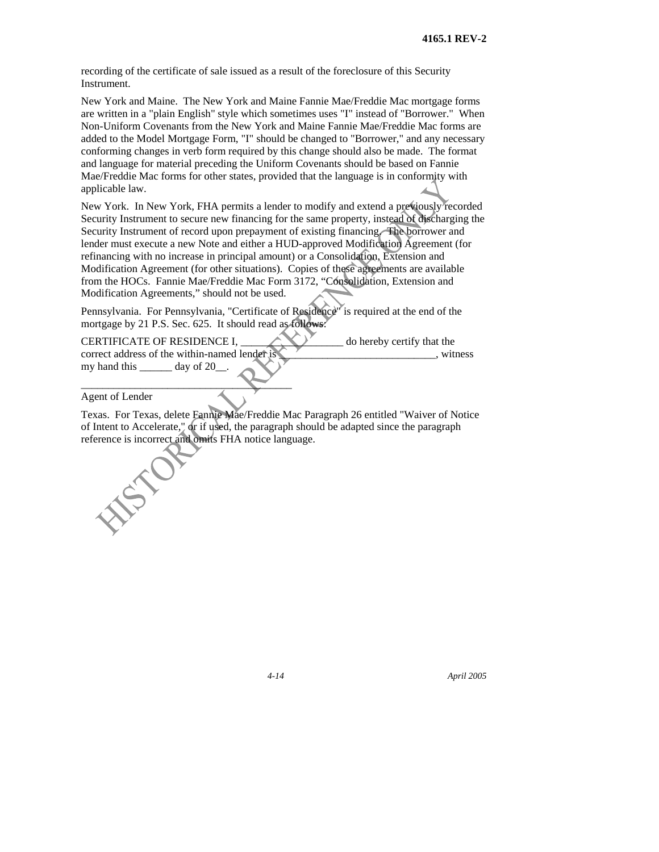recording of the certificate of sale issued as a result of the foreclosure of this Security Instrument.

New York and Maine. The New York and Maine Fannie Mae/Freddie Mac mortgage forms are written in a "plain English" style which sometimes uses "I" instead of "Borrower." When Non-Uniform Covenants from the New York and Maine Fannie Mae/Freddie Mac forms are added to the Model Mortgage Form, "I" should be changed to "Borrower," and any necessary conforming changes in verb form required by this change should also be made. The format and language for material preceding the Uniform Covenants should be based on Fannie Mae/Freddie Mac forms for other states, provided that the language is in conformity with applicable law.

New York. In New York, FHA permits a lender to modify and extend a previously recorded Security Instrument to secure new financing for the same property, instead of discharging the Security Instrument of record upon prepayment of existing financing. The borrower and lender must execute a new Note and either a HUD-approved Modification Agreement (for refinancing with no increase in principal amount) or a Consolidation, Extension and Modification Agreement (for other situations). Copies of these agreements are available from the HOCs. Fannie Mae/Freddie Mac Form 3172, "Consolidation, Extension and Modification Agreements," should not be used.

Pennsylvania. For Pennsylvania, "Certificate of Residence" is required at the end of the mortgage by 21 P.S. Sec. 625. It should read as follows:

CERTIFICATE OF RESIDENCE I,  $\qquad \qquad$  o hereby certify that the correct address of the within-named lender is \_\_\_\_\_\_\_\_\_\_\_\_\_\_\_\_\_\_\_\_\_\_\_\_, witness my hand this \_\_\_\_\_\_ day of 20\_\_.

Agent of Lender

\_\_\_\_\_\_\_\_\_\_\_\_\_\_\_\_\_\_\_\_\_\_\_\_\_\_\_\_\_\_\_\_\_\_\_\_\_\_\_

Texas. For Texas, delete Fannie Mae/Freddie Mac Paragraph 26 entitled "Waiver of Notice of Intent to Accelerate," or if used, the paragraph should be adapted since the paragraph reference is incorrect and omits FHA notice language.

*4-14 April 2005*